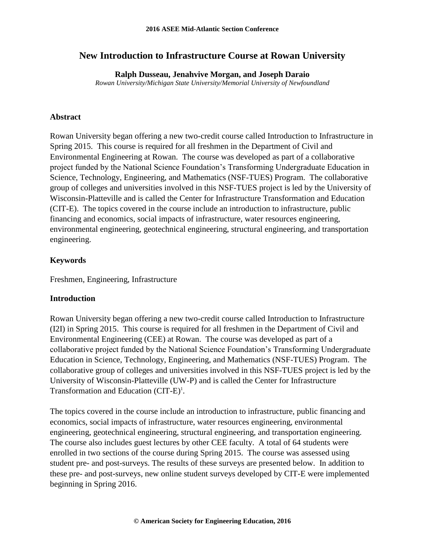# **New Introduction to Infrastructure Course at Rowan University**

**Ralph Dusseau, Jenahvive Morgan, and Joseph Daraio**

*Rowan University/Michigan State University/Memorial University of Newfoundland*

### **Abstract**

Rowan University began offering a new two-credit course called Introduction to Infrastructure in Spring 2015. This course is required for all freshmen in the Department of Civil and Environmental Engineering at Rowan. The course was developed as part of a collaborative project funded by the National Science Foundation's Transforming Undergraduate Education in Science, Technology, Engineering, and Mathematics (NSF-TUES) Program. The collaborative group of colleges and universities involved in this NSF-TUES project is led by the University of Wisconsin-Platteville and is called the Center for Infrastructure Transformation and Education (CIT-E). The topics covered in the course include an introduction to infrastructure, public financing and economics, social impacts of infrastructure, water resources engineering, environmental engineering, geotechnical engineering, structural engineering, and transportation engineering.

# **Keywords**

Freshmen, Engineering, Infrastructure

### **Introduction**

Rowan University began offering a new two-credit course called Introduction to Infrastructure (I2I) in Spring 2015. This course is required for all freshmen in the Department of Civil and Environmental Engineering (CEE) at Rowan. The course was developed as part of a collaborative project funded by the National Science Foundation's Transforming Undergraduate Education in Science, Technology, Engineering, and Mathematics (NSF-TUES) Program. The collaborative group of colleges and universities involved in this NSF-TUES project is led by the University of Wisconsin-Platteville (UW-P) and is called the Center for Infrastructure Transformation and Education  $(CIT-E)^1$ .

The topics covered in the course include an introduction to infrastructure, public financing and economics, social impacts of infrastructure, water resources engineering, environmental engineering, geotechnical engineering, structural engineering, and transportation engineering. The course also includes guest lectures by other CEE faculty. A total of 64 students were enrolled in two sections of the course during Spring 2015. The course was assessed using student pre- and post-surveys. The results of these surveys are presented below. In addition to these pre- and post-surveys, new online student surveys developed by CIT-E were implemented beginning in Spring 2016.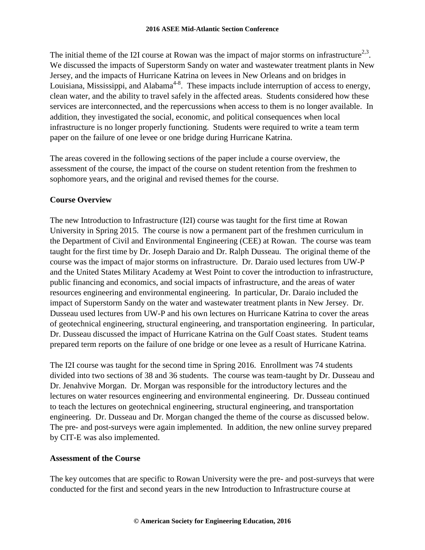The initial theme of the I2I course at Rowan was the impact of major storms on infrastructure<sup>2,3</sup>. We discussed the impacts of Superstorm Sandy on water and wastewater treatment plants in New Jersey, and the impacts of Hurricane Katrina on levees in New Orleans and on bridges in Louisiana, Mississippi, and Alabama<sup>4-8</sup>. These impacts include interruption of access to energy, clean water, and the ability to travel safely in the affected areas. Students considered how these services are interconnected, and the repercussions when access to them is no longer available. In addition, they investigated the social, economic, and political consequences when local infrastructure is no longer properly functioning. Students were required to write a team term paper on the failure of one levee or one bridge during Hurricane Katrina.

The areas covered in the following sections of the paper include a course overview, the assessment of the course, the impact of the course on student retention from the freshmen to sophomore years, and the original and revised themes for the course.

# **Course Overview**

The new Introduction to Infrastructure (I2I) course was taught for the first time at Rowan University in Spring 2015. The course is now a permanent part of the freshmen curriculum in the Department of Civil and Environmental Engineering (CEE) at Rowan. The course was team taught for the first time by Dr. Joseph Daraio and Dr. Ralph Dusseau. The original theme of the course was the impact of major storms on infrastructure. Dr. Daraio used lectures from UW-P and the United States Military Academy at West Point to cover the introduction to infrastructure, public financing and economics, and social impacts of infrastructure, and the areas of water resources engineering and environmental engineering. In particular, Dr. Daraio included the impact of Superstorm Sandy on the water and wastewater treatment plants in New Jersey. Dr. Dusseau used lectures from UW-P and his own lectures on Hurricane Katrina to cover the areas of geotechnical engineering, structural engineering, and transportation engineering. In particular, Dr. Dusseau discussed the impact of Hurricane Katrina on the Gulf Coast states. Student teams prepared term reports on the failure of one bridge or one levee as a result of Hurricane Katrina.

The I2I course was taught for the second time in Spring 2016. Enrollment was 74 students divided into two sections of 38 and 36 students. The course was team-taught by Dr. Dusseau and Dr. Jenahvive Morgan. Dr. Morgan was responsible for the introductory lectures and the lectures on water resources engineering and environmental engineering. Dr. Dusseau continued to teach the lectures on geotechnical engineering, structural engineering, and transportation engineering. Dr. Dusseau and Dr. Morgan changed the theme of the course as discussed below. The pre- and post-surveys were again implemented. In addition, the new online survey prepared by CIT-E was also implemented.

# **Assessment of the Course**

The key outcomes that are specific to Rowan University were the pre- and post-surveys that were conducted for the first and second years in the new Introduction to Infrastructure course at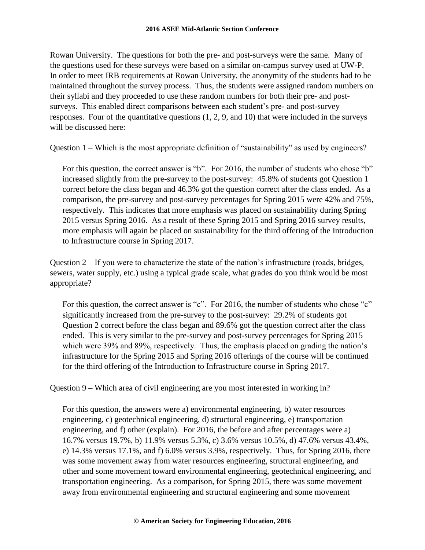#### **2016 ASEE Mid-Atlantic Section Conference**

Rowan University. The questions for both the pre- and post-surveys were the same. Many of the questions used for these surveys were based on a similar on-campus survey used at UW-P. In order to meet IRB requirements at Rowan University, the anonymity of the students had to be maintained throughout the survey process. Thus, the students were assigned random numbers on their syllabi and they proceeded to use these random numbers for both their pre- and postsurveys. This enabled direct comparisons between each student's pre- and post-survey responses. Four of the quantitative questions (1, 2, 9, and 10) that were included in the surveys will be discussed here:

Question 1 – Which is the most appropriate definition of "sustainability" as used by engineers?

For this question, the correct answer is "b". For 2016, the number of students who chose "b" increased slightly from the pre-survey to the post-survey: 45.8% of students got Question 1 correct before the class began and 46.3% got the question correct after the class ended. As a comparison, the pre-survey and post-survey percentages for Spring 2015 were 42% and 75%, respectively. This indicates that more emphasis was placed on sustainability during Spring 2015 versus Spring 2016. As a result of these Spring 2015 and Spring 2016 survey results, more emphasis will again be placed on sustainability for the third offering of the Introduction to Infrastructure course in Spring 2017.

Question 2 – If you were to characterize the state of the nation's infrastructure (roads, bridges, sewers, water supply, etc.) using a typical grade scale, what grades do you think would be most appropriate?

For this question, the correct answer is "c". For 2016, the number of students who chose "c" significantly increased from the pre-survey to the post-survey: 29.2% of students got Question 2 correct before the class began and 89.6% got the question correct after the class ended. This is very similar to the pre-survey and post-survey percentages for Spring 2015 which were 39% and 89%, respectively. Thus, the emphasis placed on grading the nation's infrastructure for the Spring 2015 and Spring 2016 offerings of the course will be continued for the third offering of the Introduction to Infrastructure course in Spring 2017.

Question 9 – Which area of civil engineering are you most interested in working in?

For this question, the answers were a) environmental engineering, b) water resources engineering, c) geotechnical engineering, d) structural engineering, e) transportation engineering, and f) other (explain). For 2016, the before and after percentages were a) 16.7% versus 19.7%, b) 11.9% versus 5.3%, c) 3.6% versus 10.5%, d) 47.6% versus 43.4%, e) 14.3% versus 17.1%, and f) 6.0% versus 3.9%, respectively. Thus, for Spring 2016, there was some movement away from water resources engineering, structural engineering, and other and some movement toward environmental engineering, geotechnical engineering, and transportation engineering. As a comparison, for Spring 2015, there was some movement away from environmental engineering and structural engineering and some movement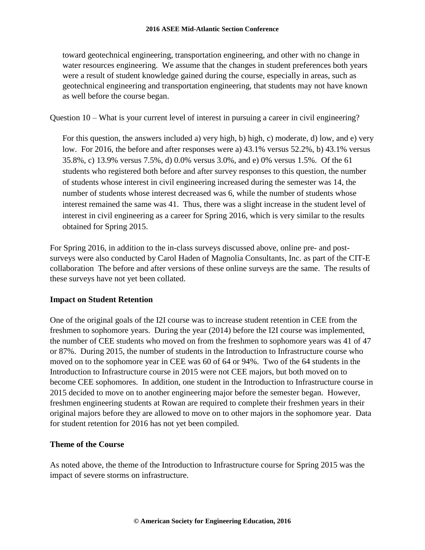toward geotechnical engineering, transportation engineering, and other with no change in water resources engineering. We assume that the changes in student preferences both years were a result of student knowledge gained during the course, especially in areas, such as geotechnical engineering and transportation engineering, that students may not have known as well before the course began.

Question 10 – What is your current level of interest in pursuing a career in civil engineering?

For this question, the answers included a) very high, b) high, c) moderate, d) low, and e) very low. For 2016, the before and after responses were a) 43.1% versus 52.2%, b) 43.1% versus 35.8%, c) 13.9% versus 7.5%, d) 0.0% versus 3.0%, and e) 0% versus 1.5%. Of the 61 students who registered both before and after survey responses to this question, the number of students whose interest in civil engineering increased during the semester was 14, the number of students whose interest decreased was 6, while the number of students whose interest remained the same was 41. Thus, there was a slight increase in the student level of interest in civil engineering as a career for Spring 2016, which is very similar to the results obtained for Spring 2015.

For Spring 2016, in addition to the in-class surveys discussed above, online pre- and postsurveys were also conducted by Carol Haden of Magnolia Consultants, Inc. as part of the CIT-E collaboration The before and after versions of these online surveys are the same. The results of these surveys have not yet been collated.

# **Impact on Student Retention**

One of the original goals of the I2I course was to increase student retention in CEE from the freshmen to sophomore years. During the year (2014) before the I2I course was implemented, the number of CEE students who moved on from the freshmen to sophomore years was 41 of 47 or 87%. During 2015, the number of students in the Introduction to Infrastructure course who moved on to the sophomore year in CEE was 60 of 64 or 94%. Two of the 64 students in the Introduction to Infrastructure course in 2015 were not CEE majors, but both moved on to become CEE sophomores. In addition, one student in the Introduction to Infrastructure course in 2015 decided to move on to another engineering major before the semester began. However, freshmen engineering students at Rowan are required to complete their freshmen years in their original majors before they are allowed to move on to other majors in the sophomore year. Data for student retention for 2016 has not yet been compiled.

# **Theme of the Course**

As noted above, the theme of the Introduction to Infrastructure course for Spring 2015 was the impact of severe storms on infrastructure.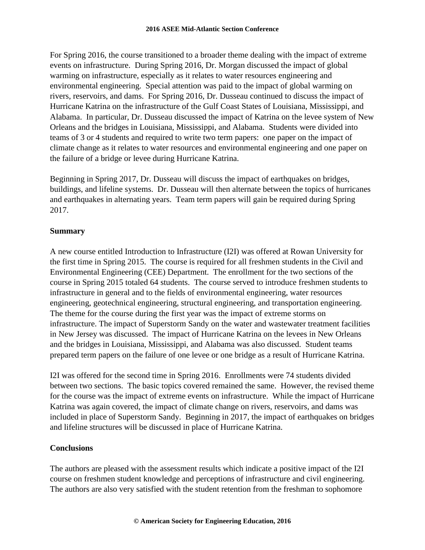For Spring 2016, the course transitioned to a broader theme dealing with the impact of extreme events on infrastructure. During Spring 2016, Dr. Morgan discussed the impact of global warming on infrastructure, especially as it relates to water resources engineering and environmental engineering. Special attention was paid to the impact of global warming on rivers, reservoirs, and dams. For Spring 2016, Dr. Dusseau continued to discuss the impact of Hurricane Katrina on the infrastructure of the Gulf Coast States of Louisiana, Mississippi, and Alabama. In particular, Dr. Dusseau discussed the impact of Katrina on the levee system of New Orleans and the bridges in Louisiana, Mississippi, and Alabama. Students were divided into teams of 3 or 4 students and required to write two term papers: one paper on the impact of climate change as it relates to water resources and environmental engineering and one paper on the failure of a bridge or levee during Hurricane Katrina.

Beginning in Spring 2017, Dr. Dusseau will discuss the impact of earthquakes on bridges, buildings, and lifeline systems. Dr. Dusseau will then alternate between the topics of hurricanes and earthquakes in alternating years. Team term papers will gain be required during Spring 2017.

# **Summary**

A new course entitled Introduction to Infrastructure (I2I) was offered at Rowan University for the first time in Spring 2015. The course is required for all freshmen students in the Civil and Environmental Engineering (CEE) Department. The enrollment for the two sections of the course in Spring 2015 totaled 64 students. The course served to introduce freshmen students to infrastructure in general and to the fields of environmental engineering, water resources engineering, geotechnical engineering, structural engineering, and transportation engineering. The theme for the course during the first year was the impact of extreme storms on infrastructure. The impact of Superstorm Sandy on the water and wastewater treatment facilities in New Jersey was discussed. The impact of Hurricane Katrina on the levees in New Orleans and the bridges in Louisiana, Mississippi, and Alabama was also discussed. Student teams prepared term papers on the failure of one levee or one bridge as a result of Hurricane Katrina.

I2I was offered for the second time in Spring 2016. Enrollments were 74 students divided between two sections. The basic topics covered remained the same. However, the revised theme for the course was the impact of extreme events on infrastructure. While the impact of Hurricane Katrina was again covered, the impact of climate change on rivers, reservoirs, and dams was included in place of Superstorm Sandy. Beginning in 2017, the impact of earthquakes on bridges and lifeline structures will be discussed in place of Hurricane Katrina.

### **Conclusions**

The authors are pleased with the assessment results which indicate a positive impact of the I2I course on freshmen student knowledge and perceptions of infrastructure and civil engineering. The authors are also very satisfied with the student retention from the freshman to sophomore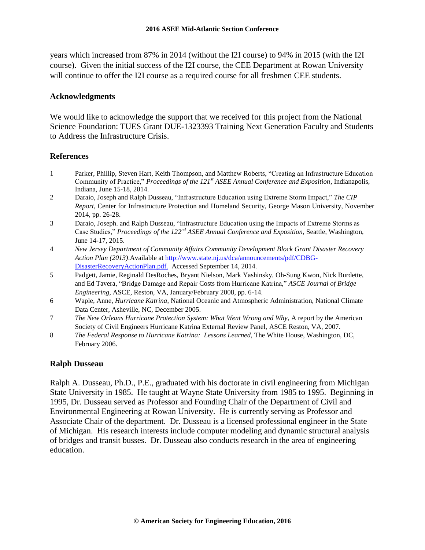years which increased from 87% in 2014 (without the I2I course) to 94% in 2015 (with the I2I course). Given the initial success of the I2I course, the CEE Department at Rowan University will continue to offer the I2I course as a required course for all freshmen CEE students.

#### **Acknowledgments**

We would like to acknowledge the support that we received for this project from the National Science Foundation: TUES Grant DUE-1323393 Training Next Generation Faculty and Students to Address the Infrastructure Crisis.

### **References**

- 1 Parker, Phillip, Steven Hart, Keith Thompson, and Matthew Roberts, "Creating an Infrastructure Education Community of Practice," *Proceedings of the 121st ASEE Annual Conference and Exposition*, Indianapolis, Indiana, June 15-18, 2014.
- 2 Daraio, Joseph and Ralph Dusseau, "Infrastructure Education using Extreme Storm Impact," *The CIP Report*, Center for Infrastructure Protection and Homeland Security, George Mason University, November 2014, pp. 26-28.
- 3 Daraio, Joseph. and Ralph Dusseau, "Infrastructure Education using the Impacts of Extreme Storms as Case Studies," *Proceedings of the 122nd ASEE Annual Conference and Exposition*, Seattle, Washington, June 14-17, 2015.
- 4 *New Jersey Department of Community Affairs Community Development Block Grant Disaster Recovery Action Plan (2013)*.Available at [http://www.state.nj.us/dca/announcements/pdf/CDBG-](http://www.state.nj.us/dca/announcements/pdf/CDBG-DisasterRecoveryActionPlan.pdf.)[DisasterRecoveryActionPlan.pdf.](http://www.state.nj.us/dca/announcements/pdf/CDBG-DisasterRecoveryActionPlan.pdf.) Accessed September 14, 2014.
- 5 Padgett, Jamie, Reginald DesRoches, Bryant Nielson, Mark Yashinsky, Oh-Sung Kwon, Nick Burdette, and Ed Tavera, "Bridge Damage and Repair Costs from Hurricane Katrina," *ASCE Journal of Bridge Engineering*, ASCE, Reston, VA, January/February 2008, pp. 6-14.
- 6 Waple, Anne, *Hurricane Katrina*, National Oceanic and Atmospheric Administration, National Climate Data Center, Asheville, NC, December 2005.
- 7 *The New Orleans Hurricane Protection System: What Went Wrong and Why*, A report by the American Society of Civil Engineers Hurricane Katrina External Review Panel, ASCE Reston, VA, 2007.
- 8 *The Federal Response to Hurricane Katrina: Lessons Learned*, The White House, Washington, DC, February 2006.

### **Ralph Dusseau**

Ralph A. Dusseau, Ph.D., P.E., graduated with his doctorate in civil engineering from Michigan State University in 1985. He taught at Wayne State University from 1985 to 1995. Beginning in 1995, Dr. Dusseau served as Professor and Founding Chair of the Department of Civil and Environmental Engineering at Rowan University. He is currently serving as Professor and Associate Chair of the department. Dr. Dusseau is a licensed professional engineer in the State of Michigan. His research interests include computer modeling and dynamic structural analysis of bridges and transit busses. Dr. Dusseau also conducts research in the area of engineering education.